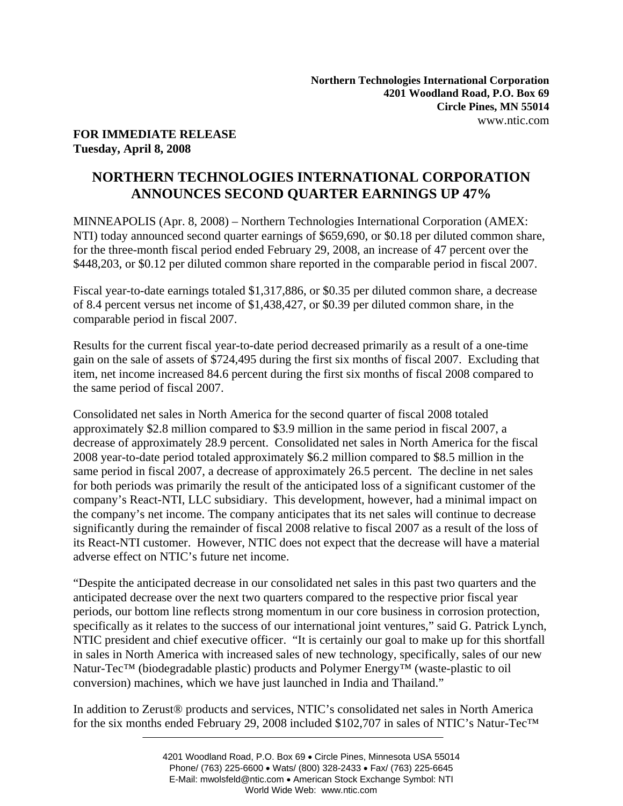## **FOR IMMEDIATE RELEASE Tuesday, April 8, 2008**

# **NORTHERN TECHNOLOGIES INTERNATIONAL CORPORATION ANNOUNCES SECOND QUARTER EARNINGS UP 47%**

MINNEAPOLIS (Apr. 8, 2008) – Northern Technologies International Corporation (AMEX: NTI) today announced second quarter earnings of \$659,690, or \$0.18 per diluted common share, for the three-month fiscal period ended February 29, 2008, an increase of 47 percent over the \$448,203, or \$0.12 per diluted common share reported in the comparable period in fiscal 2007.

Fiscal year-to-date earnings totaled \$1,317,886, or \$0.35 per diluted common share, a decrease of 8.4 percent versus net income of \$1,438,427, or \$0.39 per diluted common share, in the comparable period in fiscal 2007.

Results for the current fiscal year-to-date period decreased primarily as a result of a one-time gain on the sale of assets of \$724,495 during the first six months of fiscal 2007. Excluding that item, net income increased 84.6 percent during the first six months of fiscal 2008 compared to the same period of fiscal 2007.

Consolidated net sales in North America for the second quarter of fiscal 2008 totaled approximately \$2.8 million compared to \$3.9 million in the same period in fiscal 2007, a decrease of approximately 28.9 percent. Consolidated net sales in North America for the fiscal 2008 year-to-date period totaled approximately \$6.2 million compared to \$8.5 million in the same period in fiscal 2007, a decrease of approximately 26.5 percent. The decline in net sales for both periods was primarily the result of the anticipated loss of a significant customer of the company's React-NTI, LLC subsidiary. This development, however, had a minimal impact on the company's net income. The company anticipates that its net sales will continue to decrease significantly during the remainder of fiscal 2008 relative to fiscal 2007 as a result of the loss of its React-NTI customer. However, NTIC does not expect that the decrease will have a material adverse effect on NTIC's future net income.

"Despite the anticipated decrease in our consolidated net sales in this past two quarters and the anticipated decrease over the next two quarters compared to the respective prior fiscal year periods, our bottom line reflects strong momentum in our core business in corrosion protection, specifically as it relates to the success of our international joint ventures," said G. Patrick Lynch, NTIC president and chief executive officer. "It is certainly our goal to make up for this shortfall in sales in North America with increased sales of new technology, specifically, sales of our new Natur-Tec<sup>™</sup> (biodegradable plastic) products and Polymer Energy<sup>™</sup> (waste-plastic to oil conversion) machines, which we have just launched in India and Thailand."

In addition to Zerust® products and services, NTIC's consolidated net sales in North America for the six months ended February 29, 2008 included \$102,707 in sales of NTIC's Natur-Tec™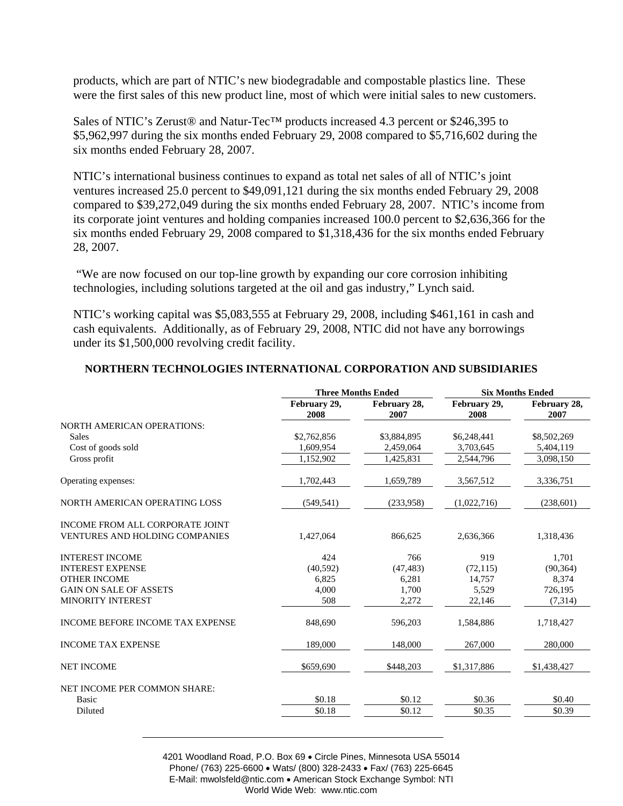products, which are part of NTIC's new biodegradable and compostable plastics line. These were the first sales of this new product line, most of which were initial sales to new customers.

Sales of NTIC's Zerust® and Natur-Tec™ products increased 4.3 percent or \$246,395 to \$5,962,997 during the six months ended February 29, 2008 compared to \$5,716,602 during the six months ended February 28, 2007.

NTIC's international business continues to expand as total net sales of all of NTIC's joint ventures increased 25.0 percent to \$49,091,121 during the six months ended February 29, 2008 compared to \$39,272,049 during the six months ended February 28, 2007. NTIC's income from its corporate joint ventures and holding companies increased 100.0 percent to \$2,636,366 for the six months ended February 29, 2008 compared to \$1,318,436 for the six months ended February 28, 2007.

 "We are now focused on our top-line growth by expanding our core corrosion inhibiting technologies, including solutions targeted at the oil and gas industry," Lynch said.

NTIC's working capital was \$5,083,555 at February 29, 2008, including \$461,161 in cash and cash equivalents. Additionally, as of February 29, 2008, NTIC did not have any borrowings under its \$1,500,000 revolving credit facility.

|                                         | <b>Three Months Ended</b> |                      | <b>Six Months Ended</b> |                      |
|-----------------------------------------|---------------------------|----------------------|-------------------------|----------------------|
|                                         | February 29,<br>2008      | February 28,<br>2007 | February 29,<br>2008    | February 28,<br>2007 |
| <b>NORTH AMERICAN OPERATIONS:</b>       |                           |                      |                         |                      |
| <b>Sales</b>                            | \$2,762,856               | \$3,884,895          | \$6,248,441             | \$8,502,269          |
| Cost of goods sold                      | 1,609,954                 | 2,459,064            | 3,703,645               | 5,404,119            |
| Gross profit                            | 1,152,902                 | 1,425,831            | 2,544,796               | 3,098,150            |
| Operating expenses:                     | 1,702,443                 | 1,659,789            | 3,567,512               | 3,336,751            |
| NORTH AMERICAN OPERATING LOSS           | (549, 541)                | (233,958)            | (1,022,716)             | (238,601)            |
| INCOME FROM ALL CORPORATE JOINT         |                           |                      |                         |                      |
| <b>VENTURES AND HOLDING COMPANIES</b>   | 1,427,064                 | 866.625              | 2,636,366               | 1,318,436            |
| <b>INTEREST INCOME</b>                  | 424                       | 766                  | 919                     | 1,701                |
| <b>INTEREST EXPENSE</b>                 | (40,592)                  | (47, 483)            | (72, 115)               | (90, 364)            |
| <b>OTHER INCOME</b>                     | 6.825                     | 6,281                | 14,757                  | 8,374                |
| <b>GAIN ON SALE OF ASSETS</b>           | 4,000                     | 1,700                | 5.529                   | 726,195              |
| <b>MINORITY INTEREST</b>                | 508                       | 2,272                | 22,146                  | (7,314)              |
| <b>INCOME BEFORE INCOME TAX EXPENSE</b> | 848,690                   | 596,203              | 1,584,886               | 1,718,427            |
| <b>INCOME TAX EXPENSE</b>               | 189,000                   | 148,000              | 267,000                 | 280,000              |
| <b>NET INCOME</b>                       | \$659,690                 | \$448.203            | \$1,317,886             | \$1,438,427          |
| NET INCOME PER COMMON SHARE:            |                           |                      |                         |                      |
| Basic                                   | \$0.18                    | \$0.12               | \$0.36                  | \$0.40               |
| Diluted                                 | \$0.18                    | \$0.12               | \$0.35                  | \$0.39               |
|                                         |                           |                      |                         |                      |

## **NORTHERN TECHNOLOGIES INTERNATIONAL CORPORATION AND SUBSIDIARIES**

4201 Woodland Road, P.O. Box 69 • Circle Pines, Minnesota USA 55014 Phone/ (763) 225-6600 • Wats/ (800) 328-2433 • Fax/ (763) 225-6645 E-Mail: mwolsfeld@ntic.com • American Stock Exchange Symbol: NTI World Wide Web: www.ntic.com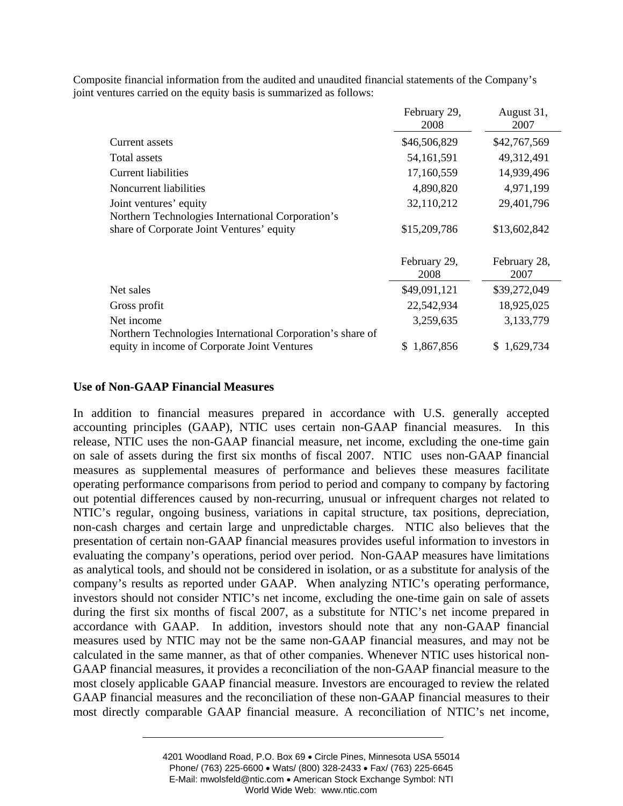|                                                            | February 29,<br>2008 | August 31,<br>2007   |
|------------------------------------------------------------|----------------------|----------------------|
| Current assets                                             | \$46,506,829         | \$42,767,569         |
| Total assets                                               | 54, 161, 591         | 49,312,491           |
| <b>Current liabilities</b>                                 | 17,160,559           | 14,939,496           |
| Noncurrent liabilities                                     | 4,890,820            | 4,971,199            |
| Joint ventures' equity                                     | 32,110,212           | 29,401,796           |
| Northern Technologies International Corporation's          |                      |                      |
| share of Corporate Joint Ventures' equity                  | \$15,209,786         | \$13,602,842         |
|                                                            | February 29,<br>2008 | February 28,<br>2007 |
| Net sales                                                  | \$49,091,121         | \$39,272,049         |
| Gross profit                                               | 22,542,934           | 18,925,025           |
| Net income                                                 | 3,259,635            | 3,133,779            |
| Northern Technologies International Corporation's share of |                      |                      |
| equity in income of Corporate Joint Ventures               | \$1,867,856          | \$1,629,734          |

Composite financial information from the audited and unaudited financial statements of the Company's joint ventures carried on the equity basis is summarized as follows:

#### **Use of Non-GAAP Financial Measures**

In addition to financial measures prepared in accordance with U.S. generally accepted accounting principles (GAAP), NTIC uses certain non-GAAP financial measures. In this release, NTIC uses the non-GAAP financial measure, net income, excluding the one-time gain on sale of assets during the first six months of fiscal 2007. NTIC uses non-GAAP financial measures as supplemental measures of performance and believes these measures facilitate operating performance comparisons from period to period and company to company by factoring out potential differences caused by non-recurring, unusual or infrequent charges not related to NTIC's regular, ongoing business, variations in capital structure, tax positions, depreciation, non-cash charges and certain large and unpredictable charges. NTIC also believes that the presentation of certain non-GAAP financial measures provides useful information to investors in evaluating the company's operations, period over period. Non-GAAP measures have limitations as analytical tools, and should not be considered in isolation, or as a substitute for analysis of the company's results as reported under GAAP. When analyzing NTIC's operating performance, investors should not consider NTIC's net income, excluding the one-time gain on sale of assets during the first six months of fiscal 2007, as a substitute for NTIC's net income prepared in accordance with GAAP. In addition, investors should note that any non-GAAP financial measures used by NTIC may not be the same non-GAAP financial measures, and may not be calculated in the same manner, as that of other companies. Whenever NTIC uses historical non-GAAP financial measures, it provides a reconciliation of the non-GAAP financial measure to the most closely applicable GAAP financial measure. Investors are encouraged to review the related GAAP financial measures and the reconciliation of these non-GAAP financial measures to their most directly comparable GAAP financial measure. A reconciliation of NTIC's net income,

<sup>4201</sup> Woodland Road, P.O. Box 69 • Circle Pines, Minnesota USA 55014 Phone/ (763) 225-6600 • Wats/ (800) 328-2433 • Fax/ (763) 225-6645 E-Mail: mwolsfeld@ntic.com • American Stock Exchange Symbol: NTI World Wide Web: www.ntic.com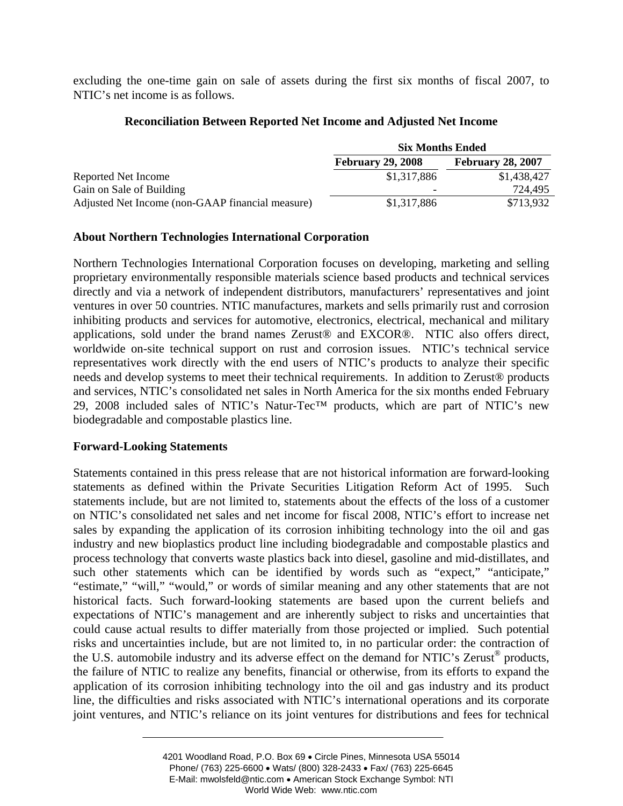excluding the one-time gain on sale of assets during the first six months of fiscal 2007, to NTIC's net income is as follows.

## **Reconciliation Between Reported Net Income and Adjusted Net Income**

|                                                  | <b>Six Months Ended</b>  |                          |  |
|--------------------------------------------------|--------------------------|--------------------------|--|
|                                                  | <b>February 29, 2008</b> | <b>February 28, 2007</b> |  |
| Reported Net Income                              | \$1,317,886              | \$1,438,427              |  |
| Gain on Sale of Building                         | $\overline{\phantom{0}}$ | 724,495                  |  |
| Adjusted Net Income (non-GAAP financial measure) | \$1,317,886              | \$713,932                |  |

# **About Northern Technologies International Corporation**

Northern Technologies International Corporation focuses on developing, marketing and selling proprietary environmentally responsible materials science based products and technical services directly and via a network of independent distributors, manufacturers' representatives and joint ventures in over 50 countries. NTIC manufactures, markets and sells primarily rust and corrosion inhibiting products and services for automotive, electronics, electrical, mechanical and military applications, sold under the brand names Zerust® and EXCOR®. NTIC also offers direct, worldwide on-site technical support on rust and corrosion issues. NTIC's technical service representatives work directly with the end users of NTIC's products to analyze their specific needs and develop systems to meet their technical requirements. In addition to Zerust® products and services, NTIC's consolidated net sales in North America for the six months ended February 29, 2008 included sales of NTIC's Natur-Tec™ products, which are part of NTIC's new biodegradable and compostable plastics line.

# **Forward-Looking Statements**

Statements contained in this press release that are not historical information are forward-looking statements as defined within the Private Securities Litigation Reform Act of 1995. Such statements include, but are not limited to, statements about the effects of the loss of a customer on NTIC's consolidated net sales and net income for fiscal 2008, NTIC's effort to increase net sales by expanding the application of its corrosion inhibiting technology into the oil and gas industry and new bioplastics product line including biodegradable and compostable plastics and process technology that converts waste plastics back into diesel, gasoline and mid-distillates, and such other statements which can be identified by words such as "expect," "anticipate," "estimate," "will," "would," or words of similar meaning and any other statements that are not historical facts. Such forward-looking statements are based upon the current beliefs and expectations of NTIC's management and are inherently subject to risks and uncertainties that could cause actual results to differ materially from those projected or implied. Such potential risks and uncertainties include, but are not limited to, in no particular order: the contraction of the U.S. automobile industry and its adverse effect on the demand for NTIC's Zerust<sup>®</sup> products, the failure of NTIC to realize any benefits, financial or otherwise, from its efforts to expand the application of its corrosion inhibiting technology into the oil and gas industry and its product line, the difficulties and risks associated with NTIC's international operations and its corporate joint ventures, and NTIC's reliance on its joint ventures for distributions and fees for technical

<sup>4201</sup> Woodland Road, P.O. Box 69 • Circle Pines, Minnesota USA 55014 Phone/ (763) 225-6600 • Wats/ (800) 328-2433 • Fax/ (763) 225-6645 E-Mail: mwolsfeld@ntic.com • American Stock Exchange Symbol: NTI World Wide Web: www.ntic.com